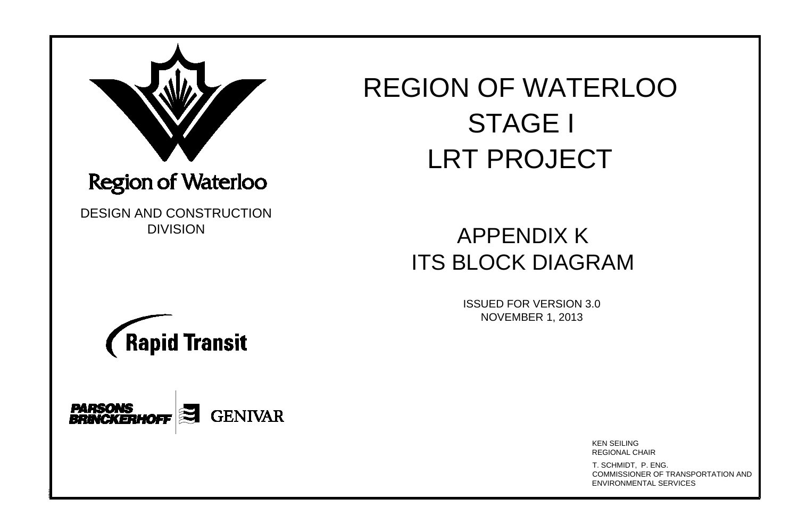

## REGION OF WATERLOO OF WAT<br>STAGE I ON OF WATER<br>STAGE I<br>LRT PROJECT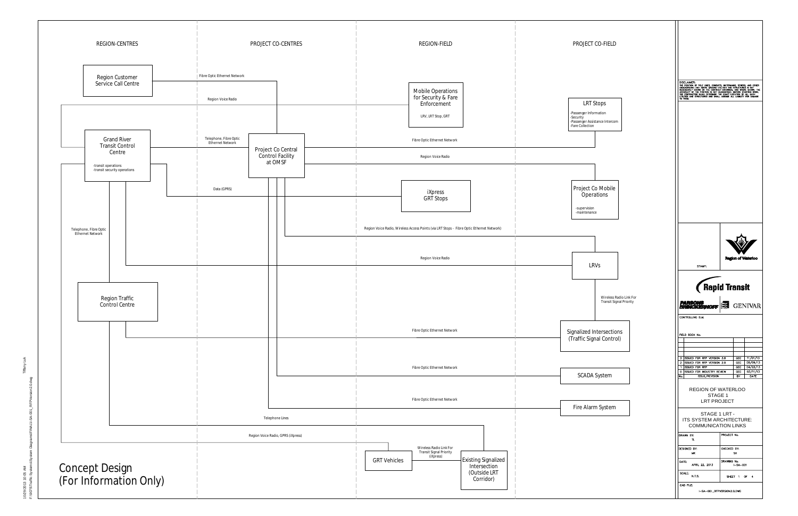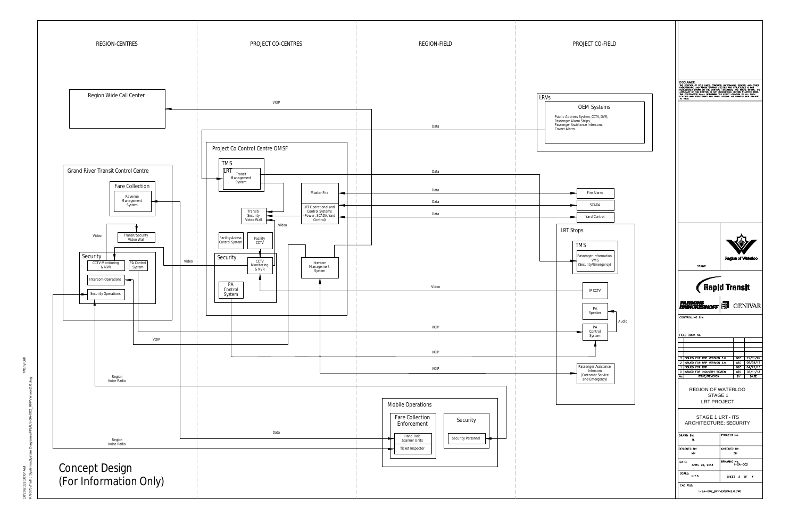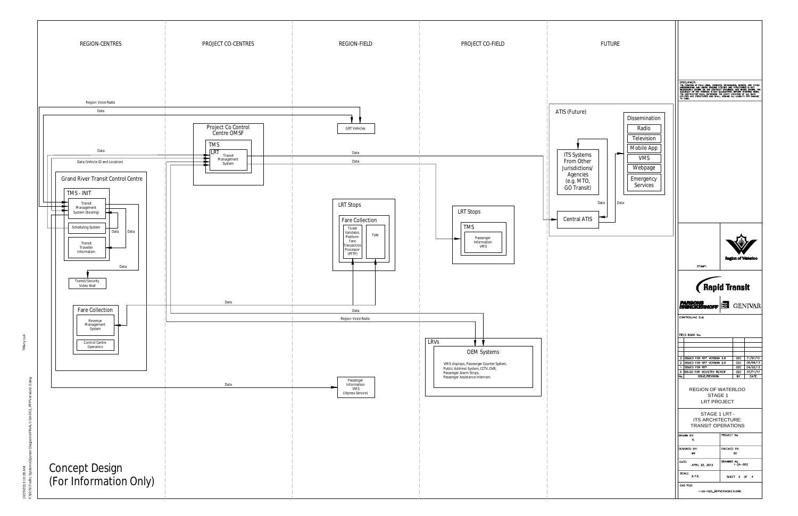GMO:OSI@PAPAL\_I-SOO+SA-NANAL\IVALL\ISAEeta5MSiguatsAS\_GUije=L\ISA005\i /2013 10:08 AM<br>\*5\Traffic System: 10/29/2013 10:08 AM

Tiffany Luk